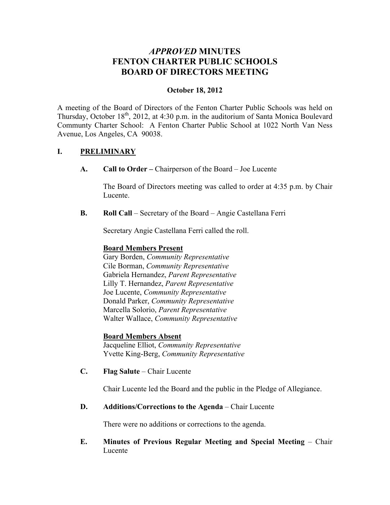# *APPROVED* **MINUTES FENTON CHARTER PUBLIC SCHOOLS BOARD OF DIRECTORS MEETING**

## **October 18, 2012**

A meeting of the Board of Directors of the Fenton Charter Public Schools was held on Thursday, October 18<sup>th</sup>, 2012, at 4:30 p.m. in the auditorium of Santa Monica Boulevard Communty Charter School: A Fenton Charter Public School at 1022 North Van Ness Avenue, Los Angeles, CA 90038.

## **I. PRELIMINARY**

**A. Call to Order –** Chairperson of the Board – Joe Lucente

The Board of Directors meeting was called to order at 4:35 p.m. by Chair Lucente.

**B. Roll Call** – Secretary of the Board – Angie Castellana Ferri

Secretary Angie Castellana Ferri called the roll.

## **Board Members Present**

Gary Borden, *Community Representative* Cile Borman, *Community Representative* Gabriela Hernandez, *Parent Representative* Lilly T. Hernandez, *Parent Representative* Joe Lucente, *Community Representative* Donald Parker, *Community Representative* Marcella Solorio, *Parent Representative* Walter Wallace, *Community Representative*

### **Board Members Absent**

Jacqueline Elliot, *Community Representative* Yvette King-Berg, *Community Representative*

**C. Flag Salute** – Chair Lucente

Chair Lucente led the Board and the public in the Pledge of Allegiance.

**D. Additions/Corrections to the Agenda** – Chair Lucente

There were no additions or corrections to the agenda.

**E. Minutes of Previous Regular Meeting and Special Meeting** – Chair Lucente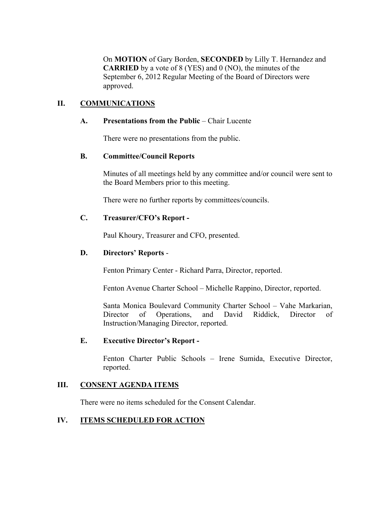On **MOTION** of Gary Borden, **SECONDED** by Lilly T. Hernandez and **CARRIED** by a vote of 8 (YES) and 0 (NO), the minutes of the September 6, 2012 Regular Meeting of the Board of Directors were approved.

## **II. COMMUNICATIONS**

### **A. Presentations from the Public** – Chair Lucente

There were no presentations from the public.

### **B. Committee/Council Reports**

Minutes of all meetings held by any committee and/or council were sent to the Board Members prior to this meeting.

There were no further reports by committees/councils.

### **C. Treasurer/CFO's Report -**

Paul Khoury, Treasurer and CFO, presented.

### **D. Directors' Reports** -

Fenton Primary Center - Richard Parra, Director, reported.

Fenton Avenue Charter School – Michelle Rappino, Director, reported.

Santa Monica Boulevard Community Charter School – Vahe Markarian, Director of Operations, and David Riddick, Director of Instruction/Managing Director, reported.

#### **E. Executive Director's Report -**

Fenton Charter Public Schools – Irene Sumida, Executive Director, reported.

### **III. CONSENT AGENDA ITEMS**

There were no items scheduled for the Consent Calendar.

### **IV. ITEMS SCHEDULED FOR ACTION**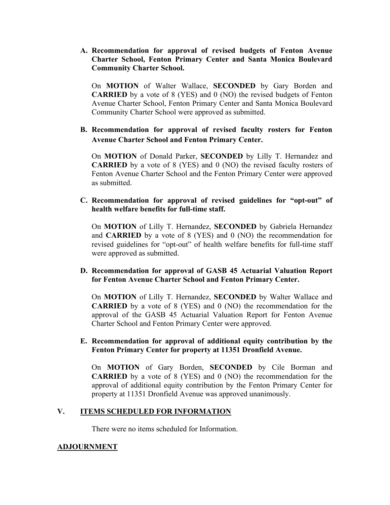**A. Recommendation for approval of revised budgets of Fenton Avenue Charter School, Fenton Primary Center and Santa Monica Boulevard Community Charter School.**

On **MOTION** of Walter Wallace, **SECONDED** by Gary Borden and **CARRIED** by a vote of 8 (YES) and 0 (NO) the revised budgets of Fenton Avenue Charter School, Fenton Primary Center and Santa Monica Boulevard Community Charter School were approved as submitted.

## **B. Recommendation for approval of revised faculty rosters for Fenton Avenue Charter School and Fenton Primary Center.**

On **MOTION** of Donald Parker, **SECONDED** by Lilly T. Hernandez and **CARRIED** by a vote of 8 (YES) and 0 (NO) the revised faculty rosters of Fenton Avenue Charter School and the Fenton Primary Center were approved as submitted.

## **C. Recommendation for approval of revised guidelines for "opt-out" of health welfare benefits for full-time staff.**

On **MOTION** of Lilly T. Hernandez, **SECONDED** by Gabriela Hernandez and **CARRIED** by a vote of 8 (YES) and 0 (NO) the recommendation for revised guidelines for "opt-out" of health welfare benefits for full-time staff were approved as submitted.

## **D. Recommendation for approval of GASB 45 Actuarial Valuation Report for Fenton Avenue Charter School and Fenton Primary Center.**

On **MOTION** of Lilly T. Hernandez, **SECONDED** by Walter Wallace and **CARRIED** by a vote of 8 (YES) and 0 (NO) the recommendation for the approval of the GASB 45 Actuarial Valuation Report for Fenton Avenue Charter School and Fenton Primary Center were approved.

## **E. Recommendation for approval of additional equity contribution by the Fenton Primary Center for property at 11351 Dronfield Avenue.**

On **MOTION** of Gary Borden, **SECONDED** by Cile Borman and **CARRIED** by a vote of 8 (YES) and 0 (NO) the recommendation for the approval of additional equity contribution by the Fenton Primary Center for property at 11351 Dronfield Avenue was approved unanimously.

## **V. ITEMS SCHEDULED FOR INFORMATION**

There were no items scheduled for Information.

## **ADJOURNMENT**